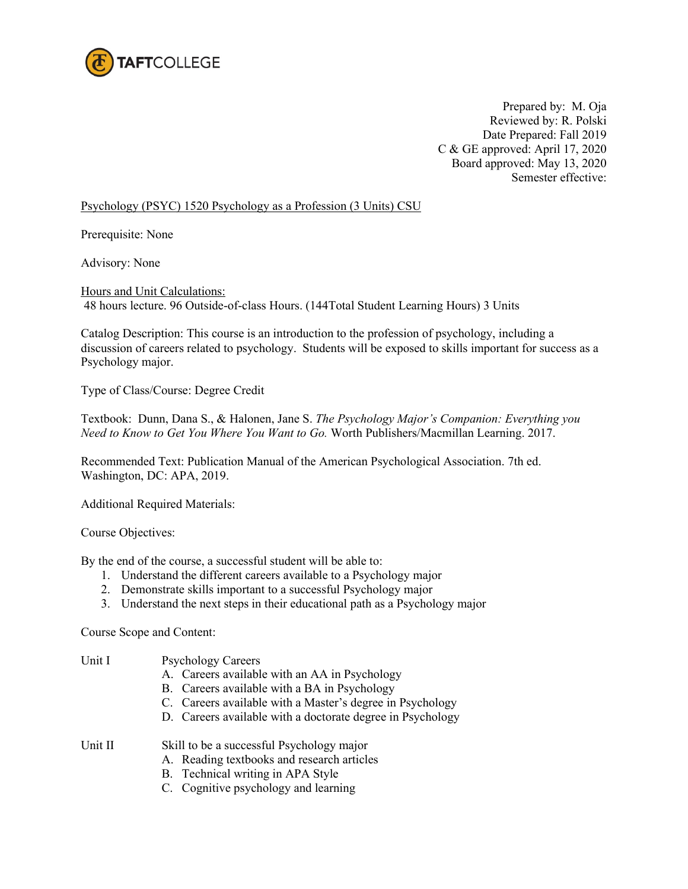

Prepared by: M. Oja Reviewed by: R. Polski Date Prepared: Fall 2019 C & GE approved: April 17, 2020 Board approved: May 13, 2020 Semester effective:

## Psychology (PSYC) 1520 Psychology as a Profession (3 Units) CSU

Prerequisite: None

Advisory: None

Hours and Unit Calculations: 48 hours lecture. 96 Outside-of-class Hours. (144Total Student Learning Hours) 3 Units

Catalog Description: This course is an introduction to the profession of psychology, including a discussion of careers related to psychology. Students will be exposed to skills important for success as a Psychology major.

Type of Class/Course: Degree Credit

Textbook: Dunn, Dana S., & Halonen, Jane S. *The Psychology Major's Companion: Everything you Need to Know to Get You Where You Want to Go.* Worth Publishers/Macmillan Learning. 2017.

Recommended Text: Publication Manual of the American Psychological Association. 7th ed. Washington, DC: APA, 2019.

Additional Required Materials:

Course Objectives:

By the end of the course, a successful student will be able to:

- 1. Understand the different careers available to a Psychology major
- 2. Demonstrate skills important to a successful Psychology major
- 3. Understand the next steps in their educational path as a Psychology major

Course Scope and Content:

| Unit I  | <b>Psychology Careers</b>                                  |  |  |
|---------|------------------------------------------------------------|--|--|
|         | A. Careers available with an AA in Psychology              |  |  |
|         | B. Careers available with a BA in Psychology               |  |  |
|         | C. Careers available with a Master's degree in Psychology  |  |  |
|         | D. Careers available with a doctorate degree in Psychology |  |  |
| Unit II | Skill to be a successful Psychology major                  |  |  |
|         | A. Reading textbooks and research articles                 |  |  |
|         | B. Technical writing in APA Style                          |  |  |

C. Cognitive psychology and learning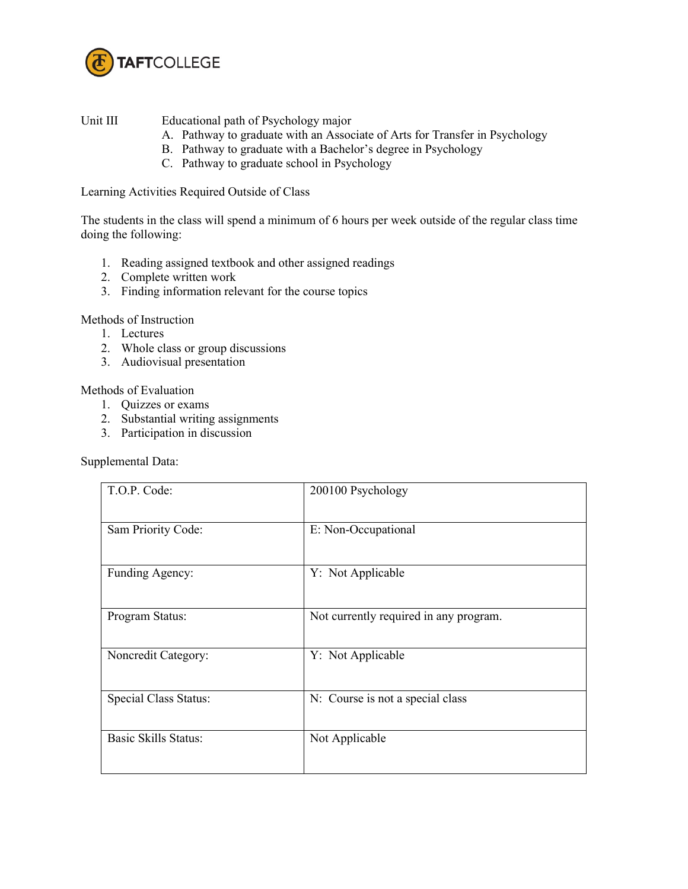

Unit III Educational path of Psychology major

- A. Pathway to graduate with an Associate of Arts for Transfer in Psychology
- B. Pathway to graduate with a Bachelor's degree in Psychology
- C. Pathway to graduate school in Psychology

Learning Activities Required Outside of Class

The students in the class will spend a minimum of 6 hours per week outside of the regular class time doing the following:

- 1. Reading assigned textbook and other assigned readings
- 2. Complete written work
- 3. Finding information relevant for the course topics

Methods of Instruction

- 1. Lectures
- 2. Whole class or group discussions
- 3. Audiovisual presentation

Methods of Evaluation

- 1. Quizzes or exams
- 2. Substantial writing assignments
- 3. Participation in discussion

Supplemental Data:

| T.O.P. Code:                | 200100 Psychology                      |
|-----------------------------|----------------------------------------|
| Sam Priority Code:          | E: Non-Occupational                    |
| Funding Agency:             | Y: Not Applicable                      |
| Program Status:             | Not currently required in any program. |
| Noncredit Category:         | Y: Not Applicable                      |
| Special Class Status:       | N: Course is not a special class       |
| <b>Basic Skills Status:</b> | Not Applicable                         |